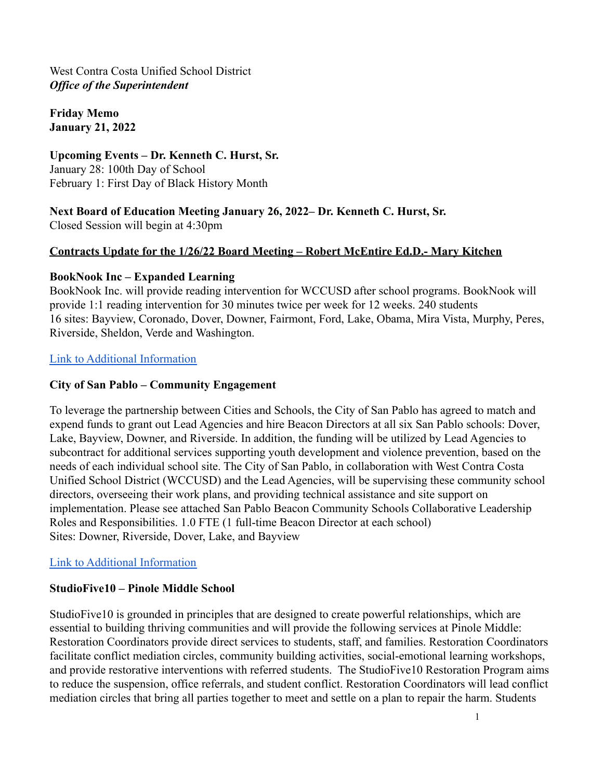**Friday Memo January 21, 2022**

**Upcoming Events – Dr. Kenneth C. Hurst, Sr.** January 28: 100th Day of School February 1: First Day of Black History Month

**Next Board of Education Meeting January 26, 2022– Dr. Kenneth C. Hurst, Sr.** Closed Session will begin at 4:30pm

#### **Contracts Update for the 1/26/22 Board Meeting – Robert McEntire Ed.D.- Mary Kitchen**

#### **BookNook Inc – Expanded Learning**

BookNook Inc. will provide reading intervention for WCCUSD after school programs. BookNook will provide 1:1 reading intervention for 30 minutes twice per week for 12 weeks. 240 students 16 sites: Bayview, Coronado, Dover, Downer, Fairmont, Ford, Lake, Obama, Mira Vista, Murphy, Peres, Riverside, Sheldon, Verde and Washington.

#### [Link to Additional Information](https://drive.google.com/file/d/1Zoq6d2mHgQlpQjdwnkylwZ-xaF0IKsDI/view?usp=sharing)

#### **City of San Pablo – Community Engagement**

To leverage the partnership between Cities and Schools, the City of San Pablo has agreed to match and expend funds to grant out Lead Agencies and hire Beacon Directors at all six San Pablo schools: Dover, Lake, Bayview, Downer, and Riverside. In addition, the funding will be utilized by Lead Agencies to subcontract for additional services supporting youth development and violence prevention, based on the needs of each individual school site. The City of San Pablo, in collaboration with West Contra Costa Unified School District (WCCUSD) and the Lead Agencies, will be supervising these community school directors, overseeing their work plans, and providing technical assistance and site support on implementation. Please see attached San Pablo Beacon Community Schools Collaborative Leadership Roles and Responsibilities. 1.0 FTE (1 full-time Beacon Director at each school) Sites: Downer, Riverside, Dover, Lake, and Bayview

[Link to Additional Information](https://drive.google.com/file/d/1zeg2k7m4gQrjNdlVBR_LO6L4E7Y_DIRn/view?usp=sharing)

#### **StudioFive10 – Pinole Middle School**

StudioFive10 is grounded in principles that are designed to create powerful relationships, which are essential to building thriving communities and will provide the following services at Pinole Middle: Restoration Coordinators provide direct services to students, staff, and families. Restoration Coordinators facilitate conflict mediation circles, community building activities, social-emotional learning workshops, and provide restorative interventions with referred students. The StudioFive10 Restoration Program aims to reduce the suspension, office referrals, and student conflict. Restoration Coordinators will lead conflict mediation circles that bring all parties together to meet and settle on a plan to repair the harm. Students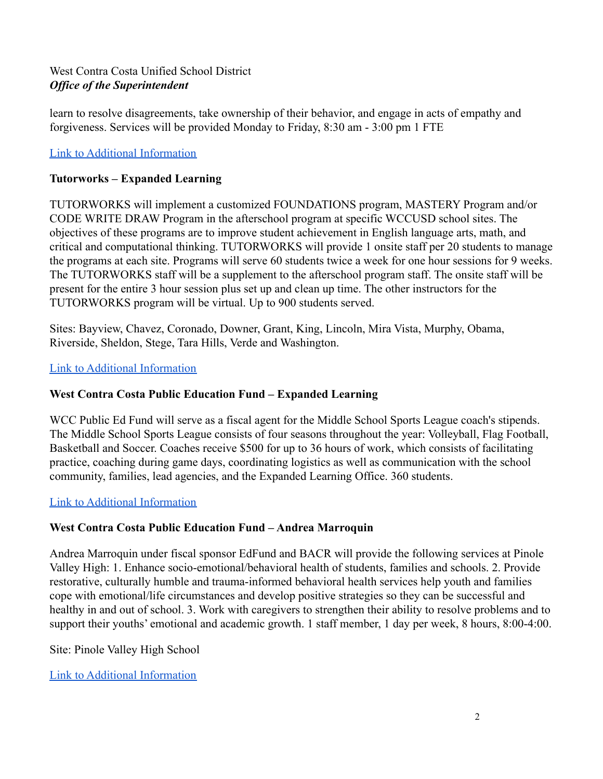learn to resolve disagreements, take ownership of their behavior, and engage in acts of empathy and forgiveness. Services will be provided Monday to Friday, 8:30 am - 3:00 pm 1 FTE

# [Link to Additional Information](https://drive.google.com/file/d/1MQD1dEV2rxJNoqLIE4dRsykTBZG2Y43m/view?usp=sharing)

# **Tutorworks – Expanded Learning**

TUTORWORKS will implement a customized FOUNDATIONS program, MASTERY Program and/or CODE WRITE DRAW Program in the afterschool program at specific WCCUSD school sites. The objectives of these programs are to improve student achievement in English language arts, math, and critical and computational thinking. TUTORWORKS will provide 1 onsite staff per 20 students to manage the programs at each site. Programs will serve 60 students twice a week for one hour sessions for 9 weeks. The TUTORWORKS staff will be a supplement to the afterschool program staff. The onsite staff will be present for the entire 3 hour session plus set up and clean up time. The other instructors for the TUTORWORKS program will be virtual. Up to 900 students served.

Sites: Bayview, Chavez, Coronado, Downer, Grant, King, Lincoln, Mira Vista, Murphy, Obama, Riverside, Sheldon, Stege, Tara Hills, Verde and Washington.

#### [Link to Additional Information](https://drive.google.com/file/d/1S4-wM0hB3_fwkPFWzFFd3y_2bcUJLVoP/view?usp=sharing)

# **West Contra Costa Public Education Fund – Expanded Learning**

WCC Public Ed Fund will serve as a fiscal agent for the Middle School Sports League coach's stipends. The Middle School Sports League consists of four seasons throughout the year: Volleyball, Flag Football, Basketball and Soccer. Coaches receive \$500 for up to 36 hours of work, which consists of facilitating practice, coaching during game days, coordinating logistics as well as communication with the school community, families, lead agencies, and the Expanded Learning Office. 360 students.

#### [Link to Additional Information](https://drive.google.com/file/d/1Psj4xqP2CB9sFg9-cOnraa6-77bba-_a/view?usp=sharing)

# **West Contra Costa Public Education Fund – Andrea Marroquin**

Andrea Marroquin under fiscal sponsor EdFund and BACR will provide the following services at Pinole Valley High: 1. Enhance socio-emotional/behavioral health of students, families and schools. 2. Provide restorative, culturally humble and trauma-informed behavioral health services help youth and families cope with emotional/life circumstances and develop positive strategies so they can be successful and healthy in and out of school. 3. Work with caregivers to strengthen their ability to resolve problems and to support their youths' emotional and academic growth. 1 staff member, 1 day per week, 8 hours, 8:00-4:00.

Site: Pinole Valley High School

[Link to Additional Information](https://drive.google.com/file/d/1h-XaDSlMKq4-mcPCBHzheljr3AwT5n1d/view?usp=sharing)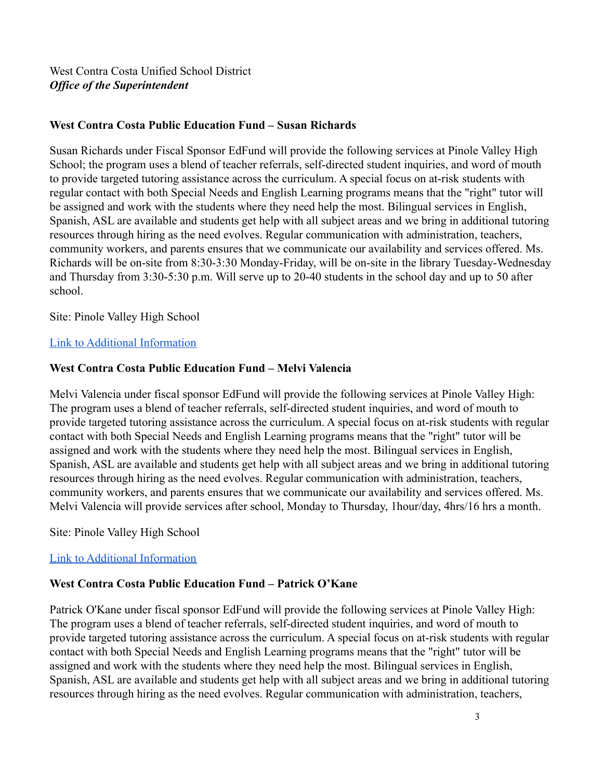#### **West Contra Costa Public Education Fund – Susan Richards**

Susan Richards under Fiscal Sponsor EdFund will provide the following services at Pinole Valley High School; the program uses a blend of teacher referrals, self-directed student inquiries, and word of mouth to provide targeted tutoring assistance across the curriculum. A special focus on at-risk students with regular contact with both Special Needs and English Learning programs means that the "right" tutor will be assigned and work with the students where they need help the most. Bilingual services in English, Spanish, ASL are available and students get help with all subject areas and we bring in additional tutoring resources through hiring as the need evolves. Regular communication with administration, teachers, community workers, and parents ensures that we communicate our availability and services offered. Ms. Richards will be on-site from 8:30-3:30 Monday-Friday, will be on-site in the library Tuesday-Wednesday and Thursday from 3:30-5:30 p.m. Will serve up to 20-40 students in the school day and up to 50 after school.

Site: Pinole Valley High School

### [Link to Additional Information](https://drive.google.com/file/d/1J4WK8K9metYGfFgJ2xQR25ePmCYvQ9_X/view?usp=sharing)

### **West Contra Costa Public Education Fund – Melvi Valencia**

Melvi Valencia under fiscal sponsor EdFund will provide the following services at Pinole Valley High: The program uses a blend of teacher referrals, self-directed student inquiries, and word of mouth to provide targeted tutoring assistance across the curriculum. A special focus on at-risk students with regular contact with both Special Needs and English Learning programs means that the "right" tutor will be assigned and work with the students where they need help the most. Bilingual services in English, Spanish, ASL are available and students get help with all subject areas and we bring in additional tutoring resources through hiring as the need evolves. Regular communication with administration, teachers, community workers, and parents ensures that we communicate our availability and services offered. Ms. Melvi Valencia will provide services after school, Monday to Thursday, 1hour/day, 4hrs/16 hrs a month.

Site: Pinole Valley High School

# [Link to Additional Information](https://drive.google.com/file/d/1tUMVjhjgvHcqtNSlUONBeNPiLne8kni8/view?usp=sharing)

# **West Contra Costa Public Education Fund – Patrick O'Kane**

Patrick O'Kane under fiscal sponsor EdFund will provide the following services at Pinole Valley High: The program uses a blend of teacher referrals, self-directed student inquiries, and word of mouth to provide targeted tutoring assistance across the curriculum. A special focus on at-risk students with regular contact with both Special Needs and English Learning programs means that the "right" tutor will be assigned and work with the students where they need help the most. Bilingual services in English, Spanish, ASL are available and students get help with all subject areas and we bring in additional tutoring resources through hiring as the need evolves. Regular communication with administration, teachers,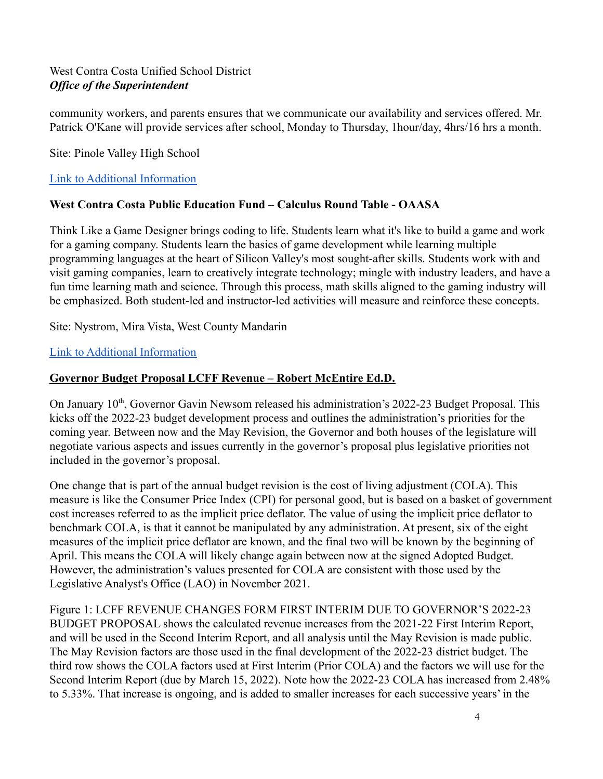community workers, and parents ensures that we communicate our availability and services offered. Mr. Patrick O'Kane will provide services after school, Monday to Thursday, 1hour/day, 4hrs/16 hrs a month.

Site: Pinole Valley High School

# [Link to Additional Information](https://drive.google.com/file/d/1qeiz5UZm30igsRmWgyZVn8LCsiAw9whn/view?usp=sharing)

# **West Contra Costa Public Education Fund – Calculus Round Table - OAASA**

Think Like a Game Designer brings coding to life. Students learn what it's like to build a game and work for a gaming company. Students learn the basics of game development while learning multiple programming languages at the heart of Silicon Valley's most sought-after skills. Students work with and visit gaming companies, learn to creatively integrate technology; mingle with industry leaders, and have a fun time learning math and science. Through this process, math skills aligned to the gaming industry will be emphasized. Both student-led and instructor-led activities will measure and reinforce these concepts.

Site: Nystrom, Mira Vista, West County Mandarin

# [Link to Additional Information](https://drive.google.com/file/d/1B3SC95fKTVjr_DmufuDrE1q673hKJQ7I/view?usp=sharing)

# **Governor Budget Proposal LCFF Revenue – Robert McEntire Ed.D.**

On January 10<sup>th</sup>, Governor Gavin Newsom released his administration's 2022-23 Budget Proposal. This kicks off the 2022-23 budget development process and outlines the administration's priorities for the coming year. Between now and the May Revision, the Governor and both houses of the legislature will negotiate various aspects and issues currently in the governor's proposal plus legislative priorities not included in the governor's proposal.

One change that is part of the annual budget revision is the cost of living adjustment (COLA). This measure is like the Consumer Price Index (CPI) for personal good, but is based on a basket of government cost increases referred to as the implicit price deflator. The value of using the implicit price deflator to benchmark COLA, is that it cannot be manipulated by any administration. At present, six of the eight measures of the implicit price deflator are known, and the final two will be known by the beginning of April. This means the COLA will likely change again between now at the signed Adopted Budget. However, the administration's values presented for COLA are consistent with those used by the Legislative Analyst's Office (LAO) in November 2021.

Figure 1: LCFF REVENUE CHANGES FORM FIRST INTERIM DUE TO GOVERNOR'S 2022-23 BUDGET PROPOSAL shows the calculated revenue increases from the 2021-22 First Interim Report, and will be used in the Second Interim Report, and all analysis until the May Revision is made public. The May Revision factors are those used in the final development of the 2022-23 district budget. The third row shows the COLA factors used at First Interim (Prior COLA) and the factors we will use for the Second Interim Report (due by March 15, 2022). Note how the 2022-23 COLA has increased from 2.48% to 5.33%. That increase is ongoing, and is added to smaller increases for each successive years' in the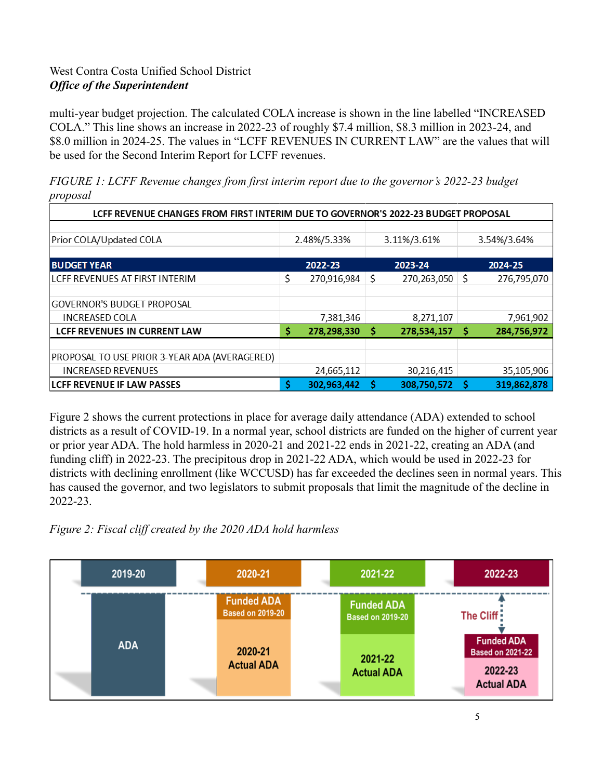multi-year budget projection. The calculated COLA increase is shown in the line labelled "INCREASED COLA." This line shows an increase in 2022-23 of roughly \$7.4 million, \$8.3 million in 2023-24, and \$8.0 million in 2024-25. The values in "LCFF REVENUES IN CURRENT LAW" are the values that will be used for the Second Interim Report for LCFF revenues.

*FIGURE 1: LCFF Revenue changes from first interim report due to the governor's 2022-23 budget proposal*

| LCFF REVENUE CHANGES FROM FIRST INTERIM DUE TO GOVERNOR'S 2022-23 BUDGET PROPOSAL |             |             |             |             |             |             |  |  |  |  |  |
|-----------------------------------------------------------------------------------|-------------|-------------|-------------|-------------|-------------|-------------|--|--|--|--|--|
| Prior COLA/Updated COLA                                                           | 2.48%/5.33% |             | 3.11%/3.61% |             | 3.54%/3.64% |             |  |  |  |  |  |
| <b>BUDGET YEAR</b>                                                                |             | 2022-23     |             | 2023-24     |             | 2024-25     |  |  |  |  |  |
| <b>LCFF REVENUES AT FIRST INTERIM</b>                                             | Ş           | 270,916,984 | \$          | 270,263,050 | S           | 276,795,070 |  |  |  |  |  |
| <b>GOVERNOR'S BUDGET PROPOSAL</b><br><b>INCREASED COLA</b>                        |             | 7,381,346   |             | 8,271,107   |             | 7,961,902   |  |  |  |  |  |
| <b>LCFF REVENUES IN CURRENT LAW</b>                                               | Ś           | 278,298,330 | -S          | 278,534,157 | s           | 284,756,972 |  |  |  |  |  |
|                                                                                   |             |             |             |             |             |             |  |  |  |  |  |
| PROPOSAL TO USE PRIOR 3-YEAR ADA (AVERAGERED)                                     |             |             |             |             |             |             |  |  |  |  |  |
| <b>INCREASED REVENUES</b>                                                         |             | 24,665,112  |             | 30,216,415  |             | 35,105,906  |  |  |  |  |  |
| <b>LCFF REVENUE IF LAW PASSES</b>                                                 | s           | 302,963,442 | S           | 308,750,572 | S           | 319,862,878 |  |  |  |  |  |

Figure 2 shows the current protections in place for average daily attendance (ADA) extended to school districts as a result of COVID-19. In a normal year, school districts are funded on the higher of current year or prior year ADA. The hold harmless in 2020-21 and 2021-22 ends in 2021-22, creating an ADA (and funding cliff) in 2022-23. The precipitous drop in 2021-22 ADA, which would be used in 2022-23 for districts with declining enrollment (like WCCUSD) has far exceeded the declines seen in normal years. This has caused the governor, and two legislators to submit proposals that limit the magnitude of the decline in 2022-23.



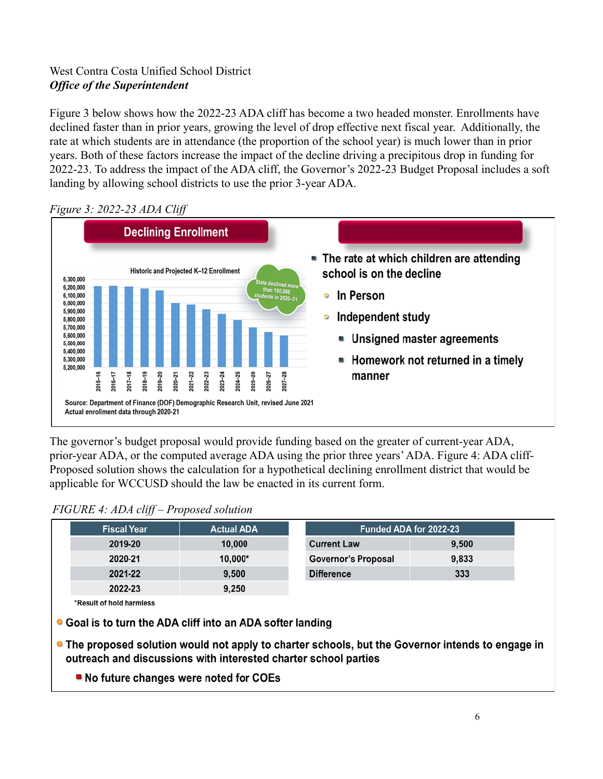Figure 3 below shows how the 2022-23 ADA cliff has become a two headed monster. Enrollments have declined faster than in prior years, growing the level of drop effective next fiscal year. Additionally, the rate at which students are in attendance (the proportion of the school year) is much lower than in prior years. Both of these factors increase the impact of the decline driving a precipitous drop in funding for 2022-23. To address the impact of the ADA cliff, the Governor's 2022-23 Budget Proposal includes a soft landing by allowing school districts to use the prior 3-year ADA.



### *Figure 3: 2022-23 ADA Cliff*

The governor's budget proposal would provide funding based on the greater of current-year ADA, prior-year ADA, or the computed average ADA using the prior three years'ADA. Figure 4: ADA cliff-Proposed solution shows the calculation for a hypothetical declining enrollment district that would be applicable for WCCUSD should the law be enacted in its current form.

#### *FIGURE 4: ADA cliff – Proposed solution*

| <b>Fiscal Year</b> | <b>Actual ADA</b> | <b>Funded ADA for 2022-23</b> |       |  |
|--------------------|-------------------|-------------------------------|-------|--|
| 2019-20            | 10,000            | <b>Current Law</b>            | 9,500 |  |
| 2020-21            | 10,000*           | <b>Governor's Proposal</b>    | 9,833 |  |
| 2021-22            | 9.500             | <b>Difference</b>             | 333   |  |
| 2022-23            | 9 250             |                               |       |  |

\*Result of hold harmless

• Goal is to turn the ADA cliff into an ADA softer landing

- The proposed solution would not apply to charter schools, but the Governor intends to engage in outreach and discussions with interested charter school parties
	- No future changes were noted for COEs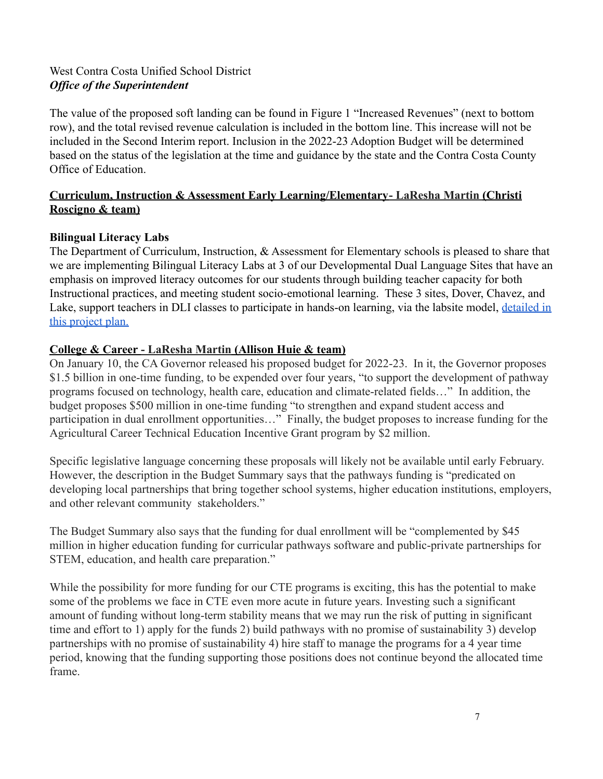The value of the proposed soft landing can be found in Figure 1 "Increased Revenues" (next to bottom row), and the total revised revenue calculation is included in the bottom line. This increase will not be included in the Second Interim report. Inclusion in the 2022-23 Adoption Budget will be determined based on the status of the legislation at the time and guidance by the state and the Contra Costa County Office of Education.

# **Curriculum, Instruction & Assessment Early Learning/Elementary- LaResha Martin (Christi Roscigno & team)**

# **Bilingual Literacy Labs**

The Department of Curriculum, Instruction, & Assessment for Elementary schools is pleased to share that we are implementing Bilingual Literacy Labs at 3 of our Developmental Dual Language Sites that have an emphasis on improved literacy outcomes for our students through building teacher capacity for both Instructional practices, and meeting student socio-emotional learning. These 3 sites, Dover, Chavez, and Lake, support teachers in DLI classes to participate in hands-on learning, via the labsite model, [detailed](https://docs.google.com/document/d/1nGdHdt4kplY5pPngUByWVoLVOxaBcXVEq3VN9PrJbeo/edit) in [this project plan.](https://docs.google.com/document/d/1nGdHdt4kplY5pPngUByWVoLVOxaBcXVEq3VN9PrJbeo/edit)

#### **College & Career - LaResha Martin (Allison Huie & team)**

On January 10, the CA Governor released his proposed budget for 2022-23. In it, the Governor proposes \$1.5 billion in one-time funding, to be expended over four years, "to support the development of pathway programs focused on technology, health care, education and climate-related fields…" In addition, the budget proposes \$500 million in one-time funding "to strengthen and expand student access and participation in dual enrollment opportunities…" Finally, the budget proposes to increase funding for the Agricultural Career Technical Education Incentive Grant program by \$2 million.

Specific legislative language concerning these proposals will likely not be available until early February. However, the description in the Budget Summary says that the pathways funding is "predicated on developing local partnerships that bring together school systems, higher education institutions, employers, and other relevant community stakeholders."

The Budget Summary also says that the funding for dual enrollment will be "complemented by \$45 million in higher education funding for curricular pathways software and public-private partnerships for STEM, education, and health care preparation."

While the possibility for more funding for our CTE programs is exciting, this has the potential to make some of the problems we face in CTE even more acute in future years. Investing such a significant amount of funding without long-term stability means that we may run the risk of putting in significant time and effort to 1) apply for the funds 2) build pathways with no promise of sustainability 3) develop partnerships with no promise of sustainability 4) hire staff to manage the programs for a 4 year time period, knowing that the funding supporting those positions does not continue beyond the allocated time frame.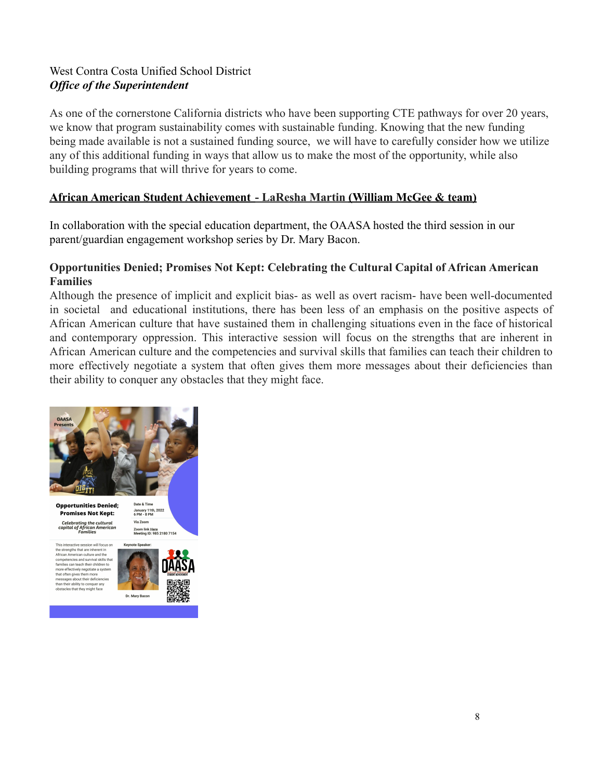As one of the cornerstone California districts who have been supporting CTE pathways for over 20 years, we know that program sustainability comes with sustainable funding. Knowing that the new funding being made available is not a sustained funding source, we will have to carefully consider how we utilize any of this additional funding in ways that allow us to make the most of the opportunity, while also building programs that will thrive for years to come.

# **African American Student Achievement - LaResha Martin (William McGee & team)**

In collaboration with the special education department, the OAASA hosted the third session in our parent/guardian engagement workshop series by Dr. Mary Bacon.

#### **Opportunities Denied; Promises Not Kept: Celebrating the Cultural Capital of African American Families**

Although the presence of implicit and explicit bias- as well as overt racism- have been well-documented in societal and educational institutions, there has been less of an emphasis on the positive aspects of African American culture that have sustained them in challenging situations even in the face of historical and contemporary oppression. This interactive session will focus on the strengths that are inherent in African American culture and the competencies and survival skills that families can teach their children to more effectively negotiate a system that often gives them more messages about their deficiencies than their ability to conquer any obstacles that they might face.



**Opportunities Denied; Promises Not Kept:** Celebrating the cultural<br>capital of African American<br>Fomilias

January 11th, 2022<br>6 PM - 8 PM Via Zoom Zoom link <u>Here</u><br>Meeting ID: 985 2180 7154

session will focus on rerudence deducing African American culture and the<br>African American culture and the<br>families can teach their children to more effectively negotiate a system<br>hat often gives them more<br>messages about their deficiencies<br>has their abilitate consumers ibility to conquer any<br>:hat they might face



8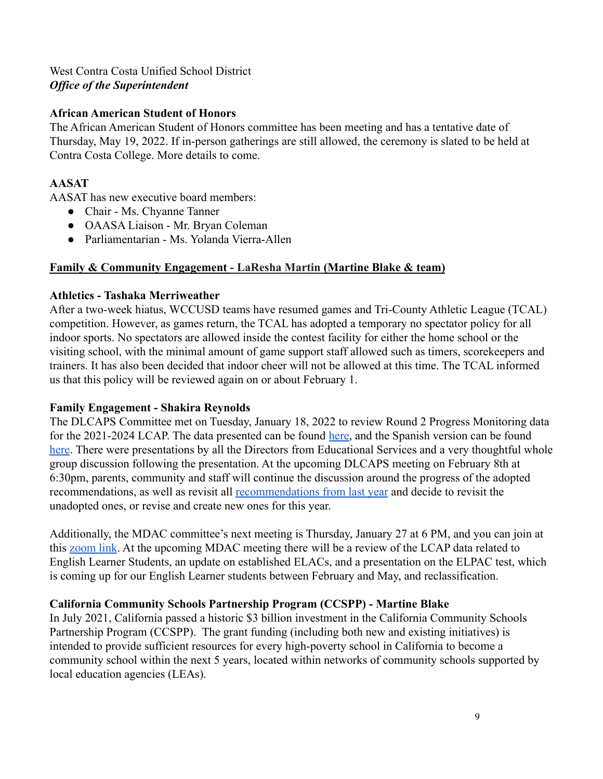#### **African American Student of Honors**

The African American Student of Honors committee has been meeting and has a tentative date of Thursday, May 19, 2022. If in-person gatherings are still allowed, the ceremony is slated to be held at Contra Costa College. More details to come.

# **AASAT**

AASAT has new executive board members:

- Chair Ms. Chyanne Tanner
- OAASA Liaison Mr. Bryan Coleman
- Parliamentarian Ms. Yolanda Vierra-Allen

### **Family & Community Engagement - LaResha Martin (Martine Blake & team)**

#### **Athletics - Tashaka Merriweather**

After a two-week hiatus, WCCUSD teams have resumed games and Tri-County Athletic League (TCAL) competition. However, as games return, the TCAL has adopted a temporary no spectator policy for all indoor sports. No spectators are allowed inside the contest facility for either the home school or the visiting school, with the minimal amount of game support staff allowed such as timers, scorekeepers and trainers. It has also been decided that indoor cheer will not be allowed at this time. The TCAL informed us that this policy will be reviewed again on or about February 1.

#### **Family Engagement - Shakira Reynolds**

The DLCAPS Committee met on Tuesday, January 18, 2022 to review Round 2 Progress Monitoring data for the 2021-2024 LCAP. The data presented can be found [here,](https://docs.google.com/presentation/d/1CYzHBjzrlSFparPiYX_lGVwBewd7XVsuEsK9dviJVTc/edit?usp=sharing) and the Spanish version can be found [here](https://docs.google.com/presentation/d/1-h8coz0aOixUEpavsqc_1r5w-vCDGNpCLP-0RoJ4JJs/edit#slide=id.g10ae3ae75c0_0_4). There were presentations by all the Directors from Educational Services and a very thoughtful whole group discussion following the presentation. At the upcoming DLCAPS meeting on February 8th at 6:30pm, parents, community and staff will continue the discussion around the progress of the adopted recommendations, as well as revisit all [recommendations](https://docs.google.com/document/u/0/d/1-KAyrxD3YTl61QoC0cCfpXVHL7rXlqw80M6b3qJ2pIo/edit) from last year and decide to revisit the unadopted ones, or revise and create new ones for this year.

Additionally, the MDAC committee's next meeting is Thursday, January 27 at 6 PM, and you can join at this [zoom link](https://wccusd.zoom.us/j/94633222600). At the upcoming MDAC meeting there will be a review of the LCAP data related to English Learner Students, an update on established ELACs, and a presentation on the ELPAC test, which is coming up for our English Learner students between February and May, and reclassification.

# **California Community Schools Partnership Program (CCSPP) - Martine Blake**

In July 2021, California passed a historic \$3 billion investment in the California Community Schools Partnership Program (CCSPP). The grant funding (including both new and existing initiatives) is intended to provide sufficient resources for every high-poverty school in California to become a community school within the next 5 years, located within networks of community schools supported by local education agencies (LEAs).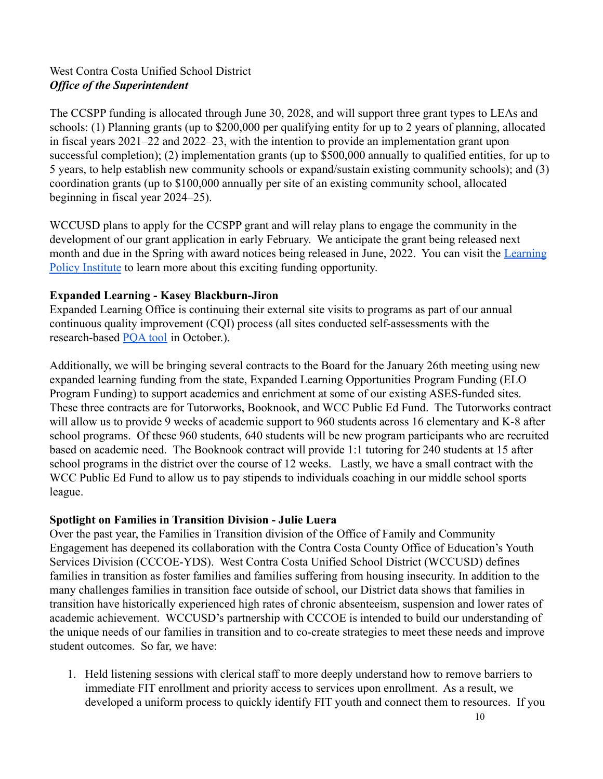The CCSPP funding is allocated through June 30, 2028, and will support three grant types to LEAs and schools: (1) Planning grants (up to \$200,000 per qualifying entity for up to 2 years of planning, allocated in fiscal years 2021–22 and 2022–23, with the intention to provide an implementation grant upon successful completion); (2) implementation grants (up to \$500,000 annually to qualified entities, for up to 5 years, to help establish new community schools or expand/sustain existing community schools); and (3) coordination grants (up to \$100,000 annually per site of an existing community school, allocated beginning in fiscal year 2024–25).

WCCUSD plans to apply for the CCSPP grant and will relay plans to engage the community in the development of our grant application in early February. We anticipate the grant being released next month and due in the Spring with award notices being released in June, 2022. You can visit the [Learning](https://learningpolicyinstitute.org/product/ca-community-schools-partnership-brief) [Policy Institute](https://learningpolicyinstitute.org/product/ca-community-schools-partnership-brief) to learn more about this exciting funding opportunity.

### **Expanded Learning - Kasey Blackburn-Jiron**

Expanded Learning Office is continuing their external site visits to programs as part of our annual continuous quality improvement (CQI) process (all sites conducted self-assessments with the research-based [PQA tool](https://drive.google.com/drive/folders/1ZUoUw2WQQO83eAfStFEVslybJo9ySyVu?usp=sharing) in October.).

Additionally, we will be bringing several contracts to the Board for the January 26th meeting using new expanded learning funding from the state, Expanded Learning Opportunities Program Funding (ELO Program Funding) to support academics and enrichment at some of our existing ASES-funded sites. These three contracts are for Tutorworks, Booknook, and WCC Public Ed Fund. The Tutorworks contract will allow us to provide 9 weeks of academic support to 960 students across 16 elementary and K-8 after school programs. Of these 960 students, 640 students will be new program participants who are recruited based on academic need. The Booknook contract will provide 1:1 tutoring for 240 students at 15 after school programs in the district over the course of 12 weeks. Lastly, we have a small contract with the WCC Public Ed Fund to allow us to pay stipends to individuals coaching in our middle school sports league.

# **Spotlight on Families in Transition Division - Julie Luera**

Over the past year, the Families in Transition division of the Office of Family and Community Engagement has deepened its collaboration with the Contra Costa County Office of Education's Youth Services Division (CCCOE-YDS). West Contra Costa Unified School District (WCCUSD) defines families in transition as foster families and families suffering from housing insecurity. In addition to the many challenges families in transition face outside of school, our District data shows that families in transition have historically experienced high rates of chronic absenteeism, suspension and lower rates of academic achievement. WCCUSD's partnership with CCCOE is intended to build our understanding of the unique needs of our families in transition and to co-create strategies to meet these needs and improve student outcomes. So far, we have:

1. Held listening sessions with clerical staff to more deeply understand how to remove barriers to immediate FIT enrollment and priority access to services upon enrollment. As a result, we developed a uniform process to quickly identify FIT youth and connect them to resources. If you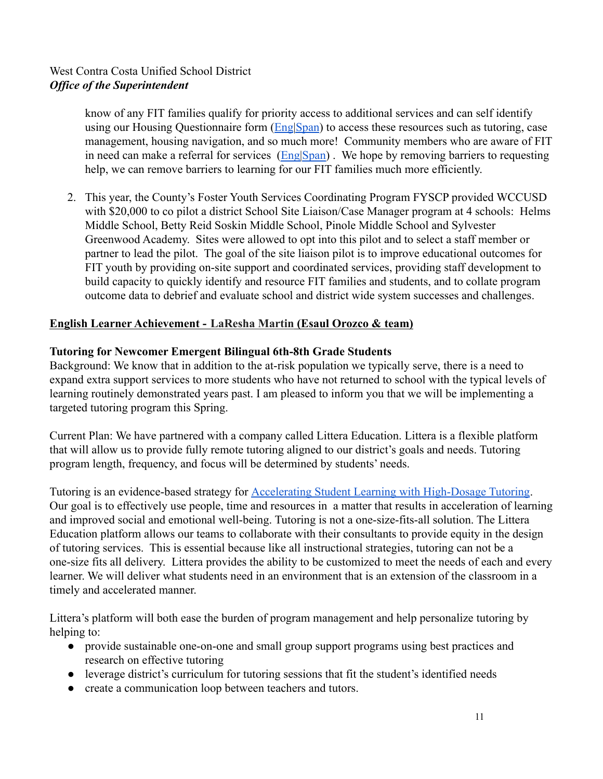know of any FIT families qualify for priority access to additional services and can self identify using our Housing Questionnaire form ([Eng](https://app.informedk12.com/link_campaigns/wccusd-housing-questionnaire-electronic-form?token=diHmWG7j6ANQAECJLcj2CtVG)[|Span](https://app.informedk12.com/link_campaigns/wccusd-housing-questionnaire-spanish-electronic-form?token=DMowxvZfTn85zxwHbitxG5Vf)) to access these resources such as tutoring, case management, housing navigation, and so much more! Community members who are aware of FIT in need can make a referral for services [\(Eng|](https://app.informedk12.com/link_campaigns/fit-foster-community-resources-referral-form-electronic-form?token=2uaATmjgVmtHC1ZL3WSfaw31)[Span](https://app.informedk12.com/link_campaigns/fit-foster-community-resources-referral-form-spanish-electronic-form?token=UBLPLkJHAupyB3Ev8kVYGJQL)). We hope by removing barriers to requesting help, we can remove barriers to learning for our FIT families much more efficiently.

2. This year, the County's Foster Youth Services Coordinating Program FYSCP provided WCCUSD with \$20,000 to co pilot a district School Site Liaison/Case Manager program at 4 schools: Helms Middle School, Betty Reid Soskin Middle School, Pinole Middle School and Sylvester Greenwood Academy. Sites were allowed to opt into this pilot and to select a staff member or partner to lead the pilot. The goal of the site liaison pilot is to improve educational outcomes for FIT youth by providing on-site support and coordinated services, providing staff development to build capacity to quickly identify and resource FIT families and students, and to collate program outcome data to debrief and evaluate school and district wide system successes and challenges.

# **English Learner Achievement - LaResha Martin (Esaul Orozco & team)**

#### **Tutoring for Newcomer Emergent Bilingual 6th-8th Grade Students**

Background: We know that in addition to the at-risk population we typically serve, there is a need to expand extra support services to more students who have not returned to school with the typical levels of learning routinely demonstrated years past. I am pleased to inform you that we will be implementing a targeted tutoring program this Spring.

Current Plan: We have partnered with a company called Littera Education. Littera is a flexible platform that will allow us to provide fully remote tutoring aligned to our district's goals and needs. Tutoring program length, frequency, and focus will be determined by students' needs.

Tutoring is an evidence-based strategy for Accelerating [Student Learning with High-Dosage Tutoring](https://annenberg.brown.edu/sites/default/files/EdResearch_for_Recovery_Design_Principles_1.pdf). Our goal is to effectively use people, time and resources in a matter that results in acceleration of learning and improved social and emotional well-being. Tutoring is not a one-size-fits-all solution. The Littera Education platform allows our teams to collaborate with their consultants to provide equity in the design of tutoring services. This is essential because like all instructional strategies, tutoring can not be a one-size fits all delivery. Littera provides the ability to be customized to meet the needs of each and every learner. We will deliver what students need in an environment that is an extension of the classroom in a timely and accelerated manner.

Littera's platform will both ease the burden of program management and help personalize tutoring by helping to:

- provide sustainable one-on-one and small group support programs using best practices and research on effective tutoring
- leverage district's curriculum for tutoring sessions that fit the student's identified needs
- create a communication loop between teachers and tutors.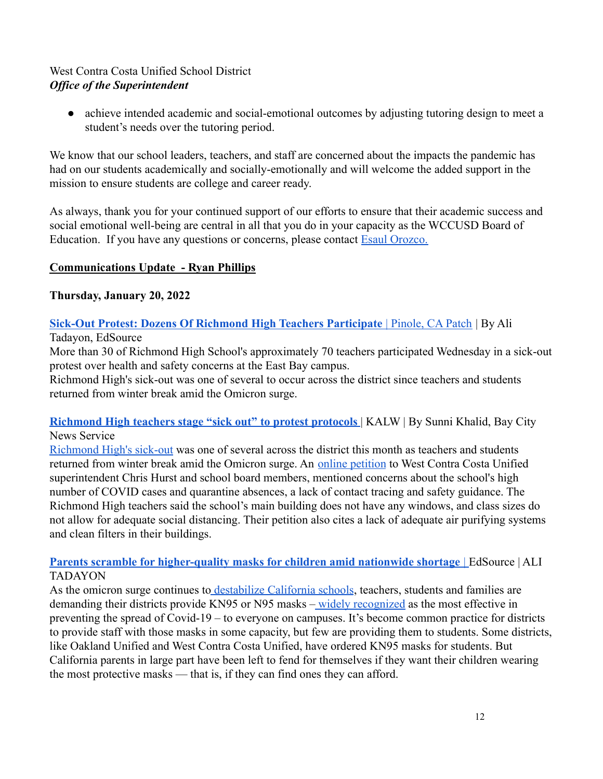• achieve intended academic and social-emotional outcomes by adjusting tutoring design to meet a student's needs over the tutoring period.

We know that our school leaders, teachers, and staff are concerned about the impacts the pandemic has had on our students academically and socially-emotionally and will welcome the added support in the mission to ensure students are college and career ready.

As always, thank you for your continued support of our efforts to ensure that their academic success and social emotional well-being are central in all that you do in your capacity as the WCCUSD Board of Education. If you have any questions or concerns, please contact [Esaul Orozco.](mailto:Erozco2@wccusd.net)

# **Communications Update - Ryan Phillips**

### **Thursday, January 20, 2022**

# **[Sick-Out Protest: Dozens Of Richmond High Teachers Participate](https://patch.com/california/pinole-hercules/sick-out-protest-dozens-richmond-high-teachers-participate)** | Pinole, CA Patch | By Ali

Tadayon, EdSource

More than 30 of Richmond High School's approximately 70 teachers participated Wednesday in a sick-out protest over health and safety concerns at the East Bay campus.

Richmond High's sick-out was one of several to occur across the district since teachers and students returned from winter break amid the Omicron surge.

**[Richmond High teachers stage "sick out" to protest protocols](https://www.kalw.org/kalw-news/2022-01-20/richmond-high-teachers-stage-sick-out-to-protest-protocols)** | KALW | By Sunni Khalid, Bay City News Service

[Richmond High's sick-out](https://www.baycitynews.com/bcn/general/01/newsclip.22.01.20.06.46.01.1.txt) was one of several across the district this month as teachers and students returned from winter break amid the Omicron surge. An [online petition](https://edsource.org/updates/dozens-of-richmond-high-teachers-participated-in-sick-out-protest-wednesday) to West Contra Costa Unified superintendent Chris Hurst and school board members, mentioned concerns about the school's high number of COVID cases and quarantine absences, a lack of contact tracing and safety guidance. The Richmond High teachers said the school's main building does not have any windows, and class sizes do not allow for adequate social distancing. Their petition also cites a lack of adequate air purifying systems and clean filters in their buildings.

### **[Parents scramble for higher-quality masks for children amid nationwide shortage](https://edsource.org/2022/parents-scramble-for-higher-quality-masks-for-children-amid-nationwide-shortage/666278) | EdSource | ALI** TADAYON

As the omicron surge continues to [destabilize California](https://edsource.org/2022/california-schools-get-off-to-a-shaky-start-after-holiday-break/666032) schools, teachers, students and families are demanding their districts provide KN95 or N95 masks – [widely recognized](https://www.latimes.com/california/story/2022-01-06/big-push-for-californians-to-switch-to-n95-or-kn95-masks) as the most effective in preventing the spread of Covid-19 – to everyone on campuses. It's become common practice for districts to provide staff with those masks in some capacity, but few are providing them to students. Some districts, like Oakland Unified and West Contra Costa Unified, have ordered KN95 masks for students. But California parents in large part have been left to fend for themselves if they want their children wearing the most protective masks — that is, if they can find ones they can afford.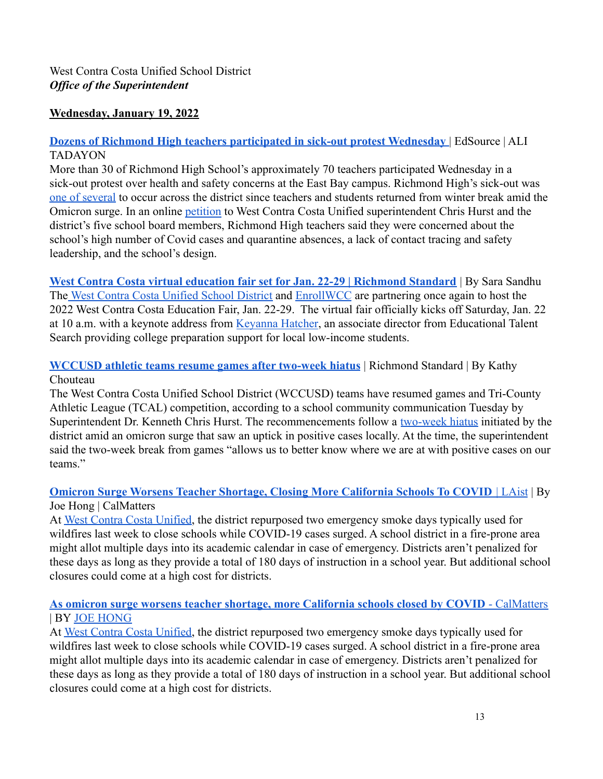### **Wednesday, January 19, 2022**

### **[Dozens of Richmond High teachers participated in sick-out protest Wednesday](https://edsource.org/updates/dozens-of-richmond-high-teachers-participated-in-sick-out-protest-wednesday)** | EdSource | ALI TADAYON

More than 30 of Richmond High School's approximately 70 teachers participated Wednesday in a sick-out protest over health and safety concerns at the East Bay campus. Richmond High's sick-out was [one of several](https://edsource.org/updates/teacher-sick-outs-continue-wednesday-at-west-contra-costa-unified) to occur across the district since teachers and students returned from winter break amid the Omicron surge. In an online [petition](https://www.change.org/p/dr-kenneth-hurst-call-to-action-write-or-call-wccusd-superintendent-dr-hurt-and-the-school-board?utm_content=cl_sharecopy_32082490_en-US:4&recruiter=799621258&utm_source=share_petition&utm_medium=copylink&utm_campaign=share_petition) to West Contra Costa Unified superintendent Chris Hurst and the district's five school board members, Richmond High teachers said they were concerned about the school's high number of Covid cases and quarantine absences, a lack of contact tracing and safety leadership, and the school's design.

**[West Contra Costa virtual education fair set for Jan. 22-29 | Richmond Standard](https://richmondstandard.com/community/education/2022/01/19/west-contra-costa-virtual-education-fair-set-for-jan-22-29/)** | By Sara Sandhu The [West Contra Costa Unified School District](https://www.wccusd.net/) and [EnrollWCC](https://enrollwcc.org/) are partnering once again to host the 2022 West Contra Costa Education Fair, Jan. 22-29. The virtual fair officially kicks off Saturday, Jan. 22 at 10 a.m. with a keynote address from [Keyanna Hatcher](https://www.linkedin.com/in/keyanna-l-hatcher-1b8342170/), an associate director from Educational Talent Search providing college preparation support for local low-income students.

**[WCCUSD athletic teams resume games after two-week hiatus](https://richmondstandard.com/community/education/2022/01/19/wccusd-athletic-teams-resume-games-after-two-week-hiatus/)** | Richmond Standard | By Kathy Chouteau

The West Contra Costa Unified School District (WCCUSD) teams have resumed games and Tri-County Athletic League (TCAL) competition, according to a school community communication Tuesday by Superintendent Dr. Kenneth Chris Hurst. The recommencements follow a [two-week hiatus](https://richmondstandard.com/sports/2022/01/05/wccusd-postpones-athletic-events-for-two-weeks-amid-omicron-surge/) initiated by the district amid an omicron surge that saw an uptick in positive cases locally. At the time, the superintendent said the two-week break from games "allows us to better know where we are at with positive cases on our teams."

#### **[Omicron Surge Worsens Teacher Shortage, Closing More California Schools To COVID](https://laist.com/news/education/omicron-surge-worsens-teacher-shortage-closing-more-california-schools-to-covid)** | LAist | By Joe Hong | CalMatters

At [West Contra Costa Unified,](https://www.kron4.com/news/bay-area/west-contra-costa-school-district-to-close-for-2-days-due-to-covid-19/) the district repurposed two emergency smoke days typically used for wildfires last week to close schools while COVID-19 cases surged. A school district in a fire-prone area might allot multiple days into its academic calendar in case of emergency. Districts aren't penalized for these days as long as they provide a total of 180 days of instruction in a school year. But additional school closures could come at a high cost for districts.

#### **[As omicron surge worsens teacher shortage, more California schools closed by COVID](https://calmatters.org/education/2022/01/covid-school-closings/)** - CalMatters | BY [JOE HONG](https://calmatters.org/author/joe-hong/)

At [West Contra Costa Unified,](https://www.kron4.com/news/bay-area/west-contra-costa-school-district-to-close-for-2-days-due-to-covid-19/) the district repurposed two emergency smoke days typically used for wildfires last week to close schools while COVID-19 cases surged. A school district in a fire-prone area might allot multiple days into its academic calendar in case of emergency. Districts aren't penalized for these days as long as they provide a total of 180 days of instruction in a school year. But additional school closures could come at a high cost for districts.